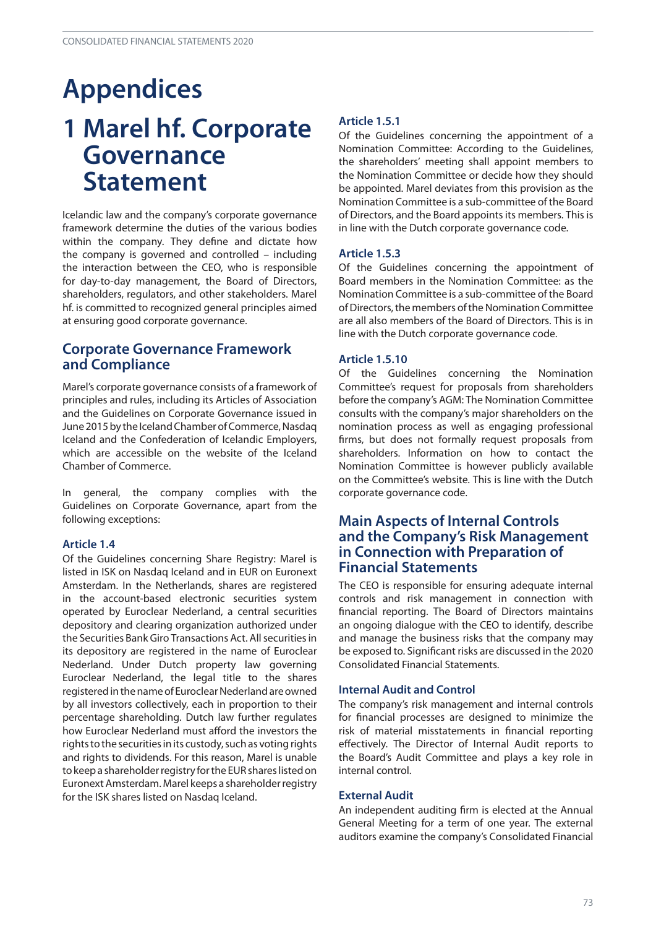# **Appendices 1 Marel hf. Corporate Governance Statement**

Icelandic law and the company's corporate governance framework determine the duties of the various bodies within the company. They define and dictate how the company is governed and controlled – including the interaction between the CEO, who is responsible for day-to-day management, the Board of Directors, shareholders, regulators, and other stakeholders. Marel hf. is committed to recognized general principles aimed at ensuring good corporate governance.

# **Corporate Governance Framework and Compliance**

Marel's corporate governance consists of a framework of principles and rules, including its Articles of Association and the Guidelines on Corporate Governance issued in June 2015 by the Iceland Chamber of Commerce, Nasdaq Iceland and the Confederation of Icelandic Employers, which are accessible on the website of the Iceland Chamber of Commerce.

In general, the company complies with the Guidelines on Corporate Governance, apart from the following exceptions:

# **Article 1.4**

Of the Guidelines concerning Share Registry: Marel is listed in ISK on Nasdaq Iceland and in EUR on Euronext Amsterdam. In the Netherlands, shares are registered in the account-based electronic securities system operated by Euroclear Nederland, a central securities depository and clearing organization authorized under the Securities Bank Giro Transactions Act. All securities in its depository are registered in the name of Euroclear Nederland. Under Dutch property law governing Euroclear Nederland, the legal title to the shares registered in the name of Euroclear Nederland are owned by all investors collectively, each in proportion to their percentage shareholding. Dutch law further regulates how Euroclear Nederland must afford the investors the rights to the securities in its custody, such as voting rights and rights to dividends. For this reason, Marel is unable to keep a shareholder registry for the EUR shares listed on Euronext Amsterdam. Marel keeps a shareholder registry for the ISK shares listed on Nasdaq Iceland.

# **Article 1.5.1**

Of the Guidelines concerning the appointment of a Nomination Committee: According to the Guidelines, the shareholders' meeting shall appoint members to the Nomination Committee or decide how they should be appointed. Marel deviates from this provision as the Nomination Committee is a sub-committee of the Board of Directors, and the Board appoints its members. This is in line with the Dutch corporate governance code.

## **Article 1.5.3**

Of the Guidelines concerning the appointment of Board members in the Nomination Committee: as the Nomination Committee is a sub-committee of the Board of Directors, the members of the Nomination Committee are all also members of the Board of Directors. This is in line with the Dutch corporate governance code.

# **Article 1.5.10**

Of the Guidelines concerning the Nomination Committee's request for proposals from shareholders before the company's AGM: The Nomination Committee consults with the company's major shareholders on the nomination process as well as engaging professional firms, but does not formally request proposals from shareholders. Information on how to contact the Nomination Committee is however publicly available on the Committee's website. This is line with the Dutch corporate governance code.

# **Main Aspects of Internal Controls and the Company's Risk Management in Connection with Preparation of Financial Statements**

The CEO is responsible for ensuring adequate internal controls and risk management in connection with financial reporting. The Board of Directors maintains an ongoing dialogue with the CEO to identify, describe and manage the business risks that the company may be exposed to. Significant risks are discussed in the 2020 Consolidated Financial Statements.

## **Internal Audit and Control**

The company's risk management and internal controls for financial processes are designed to minimize the risk of material misstatements in financial reporting effectively. The Director of Internal Audit reports to the Board's Audit Committee and plays a key role in internal control.

## **External Audit**

An independent auditing firm is elected at the Annual General Meeting for a term of one year. The external auditors examine the company's Consolidated Financial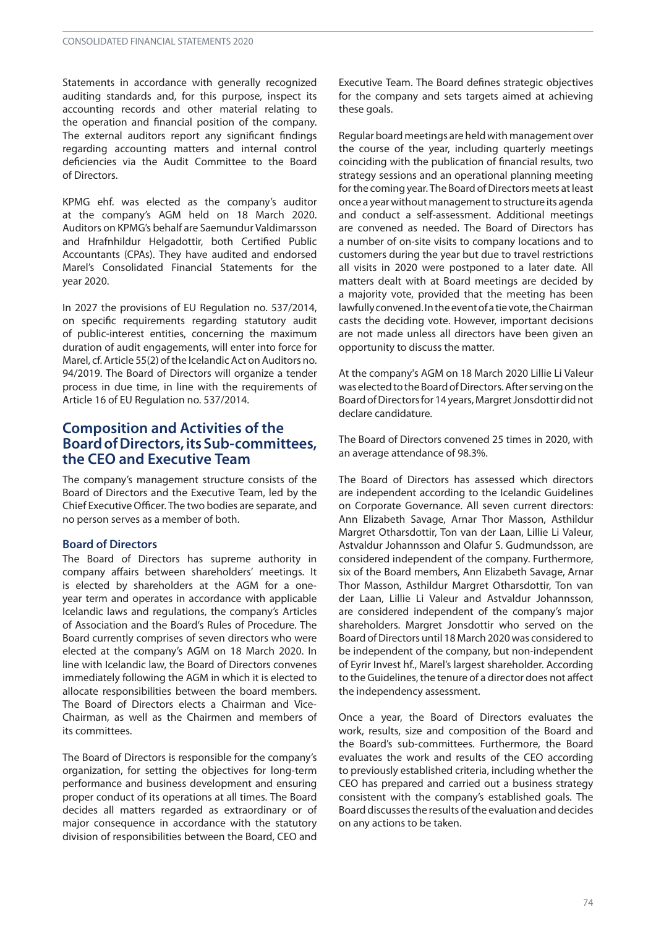Statements in accordance with generally recognized auditing standards and, for this purpose, inspect its accounting records and other material relating to the operation and financial position of the company. The external auditors report any significant findings regarding accounting matters and internal control deficiencies via the Audit Committee to the Board of Directors.

KPMG ehf. was elected as the company's auditor at the company's AGM held on 18 March 2020. Auditors on KPMG's behalf are Saemundur Valdimarsson and Hrafnhildur Helgadottir, both Certified Public Accountants (CPAs). They have audited and endorsed Marel's Consolidated Financial Statements for the year 2020.

In 2027 the provisions of EU Regulation no. 537/2014, on specific requirements regarding statutory audit of public-interest entities, concerning the maximum duration of audit engagements, will enter into force for Marel, cf. Article 55(2) of the Icelandic Act on Auditors no. 94/2019. The Board of Directors will organize a tender process in due time, in line with the requirements of Article 16 of EU Regulation no. 537/2014.

# **Composition and Activities of the BoardofDirectors,itsSub-committees, the CEO and Executive Team**

The company's management structure consists of the Board of Directors and the Executive Team, led by the Chief ExecutiveOfficer. The two bodies are separate, and no person serves as a member of both.

#### **Board of Directors**

The Board of Directors has supreme authority in company affairs between shareholders' meetings. It is elected by shareholders at the AGM for a oneyear term and operates in accordance with applicable Icelandic laws and regulations, the company's Articles of Association and the Board's Rules of Procedure. The Board currently comprises of seven directors who were elected at the company's AGM on 18 March 2020. In line with Icelandic law, the Board of Directors convenes immediately following the AGM in which it is elected to allocate responsibilities between the board members. The Board of Directors elects a Chairman and Vice-Chairman, as well as the Chairmen and members of its committees.

The Board of Directors is responsible for the company's organization, for setting the objectives for long-term performance and business development and ensuring proper conduct of its operations at all times. The Board decides all matters regarded as extraordinary or of major consequence in accordance with the statutory division of responsibilities between the Board, CEO and

Executive Team. The Board defines strategic objectives for the company and sets targets aimed at achieving these goals.

Regular board meetings are held with management over the course of the year, including quarterly meetings coinciding with the publication of financial results, two strategy sessions and an operational planning meeting for the coming year. The Board of Directors meets at least once a year without management to structure its agenda and conduct a self-assessment. Additional meetings are convened as needed. The Board of Directors has a number of on-site visits to company locations and to customers during the year but due to travel restrictions all visits in 2020 were postponed to a later date. All matters dealt with at Board meetings are decided by a majority vote, provided that the meeting has been lawfullyconvened.Intheeventofatievote,theChairman casts the deciding vote. However, important decisions are not made unless all directors have been given an opportunity to discuss the matter.

At the company's AGM on 18 March 2020 Lillie Li Valeur was elected to the Board of Directors. After serving on the Board of Directors for 14 years, Margret Jonsdottir did not declare candidature.

The Board of Directors convened 25 times in 2020, with an average attendance of 98.3%.

The Board of Directors has assessed which directors are independent according to the Icelandic Guidelines on Corporate Governance. All seven current directors: Ann Elizabeth Savage, Arnar Thor Masson, Asthildur Margret Otharsdottir, Ton van der Laan, Lillie Li Valeur, Astvaldur Johannsson and Olafur S. Gudmundsson, are considered independent of the company. Furthermore, six of the Board members, Ann Elizabeth Savage, Arnar Thor Masson, Asthildur Margret Otharsdottir, Ton van der Laan, Lillie Li Valeur and Astvaldur Johannsson, are considered independent of the company's major shareholders. Margret Jonsdottir who served on the Board of Directors until 18 March 2020 was considered to be independent of the company, but non-independent of Eyrir Invest hf., Marel's largest shareholder. According to the Guidelines, the tenure of a director does not affect the independency assessment.

Once a year, the Board of Directors evaluates the work, results, size and composition of the Board and the Board's sub-committees. Furthermore, the Board evaluates the work and results of the CEO according to previously established criteria, including whether the CEO has prepared and carried out a business strategy consistent with the company's established goals. The Board discusses the results of the evaluation and decides on any actions to be taken.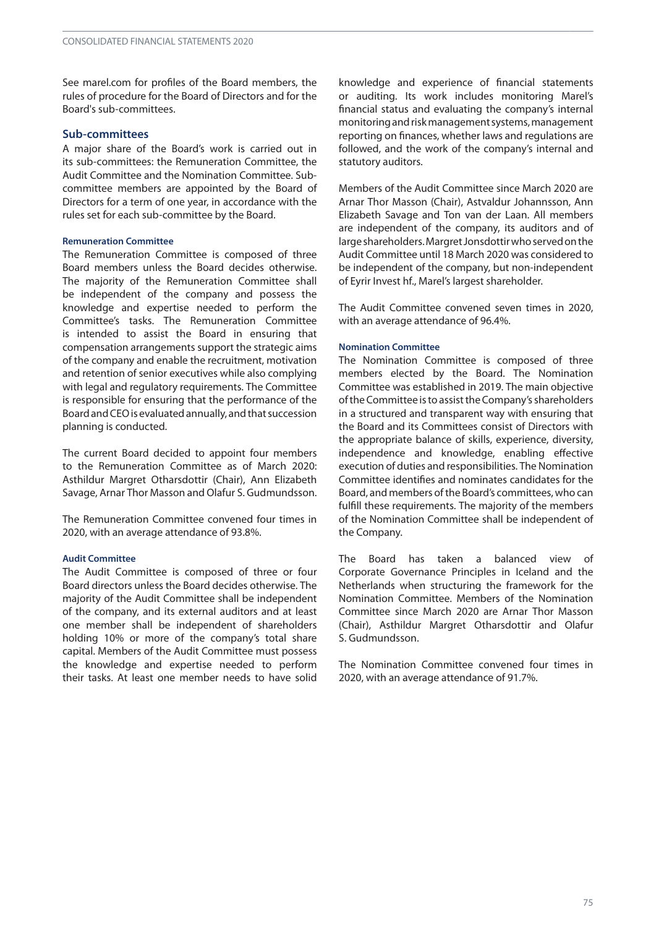See marel.com for profiles of the Board members, the rules of procedure for the Board of Directors and for the Board's sub-committees.

#### **Sub-committees**

A major share of the Board's work is carried out in its sub-committees: the Remuneration Committee, the Audit Committee and the Nomination Committee. Subcommittee members are appointed by the Board of Directors for a term of one year, in accordance with the rules set for each sub-committee by the Board.

#### **Remuneration Committee**

The Remuneration Committee is composed of three Board members unless the Board decides otherwise. The majority of the Remuneration Committee shall be independent of the company and possess the knowledge and expertise needed to perform the Committee's tasks. The Remuneration Committee is intended to assist the Board in ensuring that compensation arrangements support the strategic aims of the company and enable the recruitment, motivation and retention of senior executives while also complying with legal and regulatory requirements. The Committee is responsible for ensuring that the performance of the Board and CEO is evaluated annually, and that succession planning is conducted.

The current Board decided to appoint four members to the Remuneration Committee as of March 2020: Asthildur Margret Otharsdottir (Chair), Ann Elizabeth Savage, Arnar Thor Masson and Olafur S. Gudmundsson.

The Remuneration Committee convened four times in 2020, with an average attendance of 93.8%.

#### **Audit Committee**

The Audit Committee is composed of three or four Board directors unless the Board decides otherwise. The majority of the Audit Committee shall be independent of the company, and its external auditors and at least one member shall be independent of shareholders holding 10% or more of the company's total share capital. Members of the Audit Committee must possess the knowledge and expertise needed to perform their tasks. At least one member needs to have solid

knowledge and experience of financial statements or auditing. Its work includes monitoring Marel's financial status and evaluating the company's internal monitoring and risk management systems, management reporting on finances, whether laws and regulations are followed, and the work of the company's internal and statutory auditors.

Members of the Audit Committee since March 2020 are Arnar Thor Masson (Chair), Astvaldur Johannsson, Ann Elizabeth Savage and Ton van der Laan. All members are independent of the company, its auditors and of large shareholders. Margret Jonsdottir who served on the Audit Committee until 18 March 2020 was considered to be independent of the company, but non-independent of Eyrir Invest hf., Marel's largest shareholder.

The Audit Committee convened seven times in 2020, with an average attendance of 96.4%.

#### **Nomination Committee**

The Nomination Committee is composed of three members elected by the Board. The Nomination Committee was established in 2019. The main objective of the Committee is to assist the Company's shareholders in a structured and transparent way with ensuring that the Board and its Committees consist of Directors with the appropriate balance of skills, experience, diversity, independence and knowledge, enabling effective execution of duties and responsibilities. The Nomination Committee identifies and nominates candidates for the Board, and members of the Board's committees, who can fulfill these requirements. The majority of the members of the Nomination Committee shall be independent of the Company.

The Board has taken a balanced view of Corporate Governance Principles in Iceland and the Netherlands when structuring the framework for the Nomination Committee. Members of the Nomination Committee since March 2020 are Arnar Thor Masson (Chair), Asthildur Margret Otharsdottir and Olafur S. Gudmundsson.

The Nomination Committee convened four times in 2020, with an average attendance of 91.7%.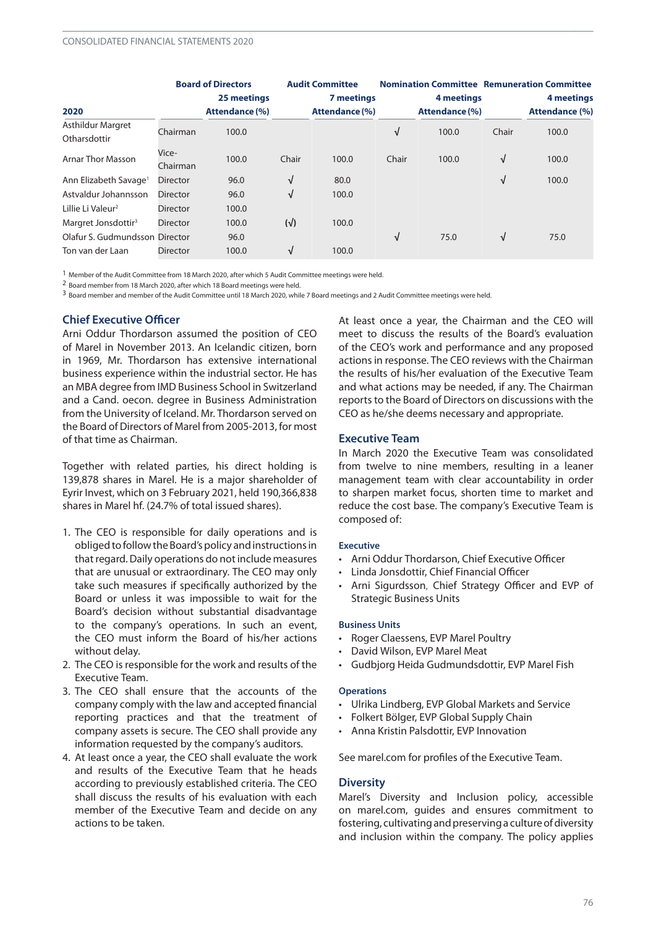|                                          |                   | <b>Board of Directors</b> |              | <b>Audit Committee</b> |       |                |            | <b>Nomination Committee Remuneration Committee</b> |
|------------------------------------------|-------------------|---------------------------|--------------|------------------------|-------|----------------|------------|----------------------------------------------------|
|                                          |                   | 25 meetings               |              | 7 meetings             |       | 4 meetings     |            | 4 meetings                                         |
| 2020                                     |                   | <b>Attendance (%)</b>     |              | <b>Attendance (%)</b>  |       | Attendance (%) |            | <b>Attendance (%)</b>                              |
| <b>Asthildur Margret</b><br>Otharsdottir | Chairman          | 100.0                     |              |                        | √     | 100.0          | Chair      | 100.0                                              |
| <b>Arnar Thor Masson</b>                 | Vice-<br>Chairman | 100.0                     | Chair        | 100.0                  | Chair | 100.0          | $\sqrt{ }$ | 100.0                                              |
| Ann Elizabeth Savage <sup>1</sup>        | <b>Director</b>   | 96.0                      | √            | 80.0                   |       |                | V          | 100.0                                              |
| Astvaldur Johannsson                     | <b>Director</b>   | 96.0                      | $\sqrt{ }$   | 100.0                  |       |                |            |                                                    |
| Lillie Li Valeur <sup>2</sup>            | <b>Director</b>   | 100.0                     |              |                        |       |                |            |                                                    |
| Margret Jonsdottir <sup>3</sup>          | <b>Director</b>   | 100.0                     | $(\sqrt{2})$ | 100.0                  |       |                |            |                                                    |
| Olafur S. Gudmundsson Director           |                   | 96.0                      |              |                        | √     | 75.0           | $\sqrt{ }$ | 75.0                                               |
| Ton van der Laan                         | <b>Director</b>   | 100.0                     | √            | 100.0                  |       |                |            |                                                    |

1 Member of the Audit Committee from 18 March 2020, after which 5 Audit Committee meetings were held.

2 Board member from 18 March 2020, after which 18 Board meetings were held.

3 Board member and member of the Audit Committee until 18 March 2020, while 7 Board meetings and 2 Audit Committee meetings were held.

## **Chief Executive Officer**

Arni Oddur Thordarson assumed the position of CEO of Marel in November 2013. An Icelandic citizen, born in 1969, Mr. Thordarson has extensive international business experience within the industrial sector. He has an MBA degree fromIMD Business School in Switzerland and a Cand. oecon. degree in Business Administration from the University of Iceland. Mr. Thordarson served on the Board of Directors of Marel from 2005-2013, for most of that time as Chairman.

Together with related parties, his direct holding is 139,878 shares in Marel. He is a major shareholder of Eyrir Invest, which on 3 February 2021, held 190,366,838 shares in Marel hf. (24.7% of total issued shares).

- 1. The CEO is responsible for daily operations and is obliged to follow the Board's policy and instructions in that regard. Daily operations do not include measures that are unusual or extraordinary. The CEO may only take such measures if specifically authorized by the Board or unless it was impossible to wait for the Board's decision without substantial disadvantage to the company's operations. In such an event, the CEO must inform the Board of his/her actions without delay.
- 2. The CEO is responsible for the work and results of the Executive Team.
- 3. The CEO shall ensure that the accounts of the company comply with the law and accepted financial reporting practices and that the treatment of company assets is secure. The CEO shall provide any information requested by the company's auditors.
- 4. At least once a year, the CEO shall evaluate the work and results of the Executive Team that he heads according to previously established criteria. The CEO shall discuss the results of his evaluation with each member of the Executive Team and decide on any actions to be taken.

At least once a year, the Chairman and the CEO will meet to discuss the results of the Board's evaluation of the CEO's work and performance and any proposed actions in response. The CEO reviews with the Chairman the results of his/her evaluation of the Executive Team and what actions may be needed, if any. The Chairman reports to the Board of Directors on discussions with the CEO as he/she deems necessary and appropriate.

#### **Executive Team**

In March 2020 the Executive Team was consolidated from twelve to nine members, resulting in a leaner management team with clear accountability in order to sharpen market focus, shorten time to market and reduce the cost base. The company's Executive Team is composed of:

#### **Executive**

- Arni Oddur Thordarson, Chief Executive Officer
- Linda Jonsdottir, Chief Financial Officer
- Arni Sigurdsson*,* Chief Strategy Officer and EVP of Strategic Business Units

#### **Business Units**

- Roger Claessens, EVP Marel Poultry
- David Wilson, EVP Marel Meat
- Gudbjorg Heida Gudmundsdottir, EVP Marel Fish

#### **Operations**

- Ulrika Lindberg, EVP Global Markets and Service
- Folkert Bölger, EVP Global Supply Chain
- Anna Kristin Palsdottir, EVP Innovation

See marel.com for profiles of the Executive Team.

#### **Diversity**

Marel's Diversity and Inclusion policy, accessible on marel.com, guides and ensures commitment to fostering, cultivating and preserving a culture of diversity and inclusion within the company. The policy applies